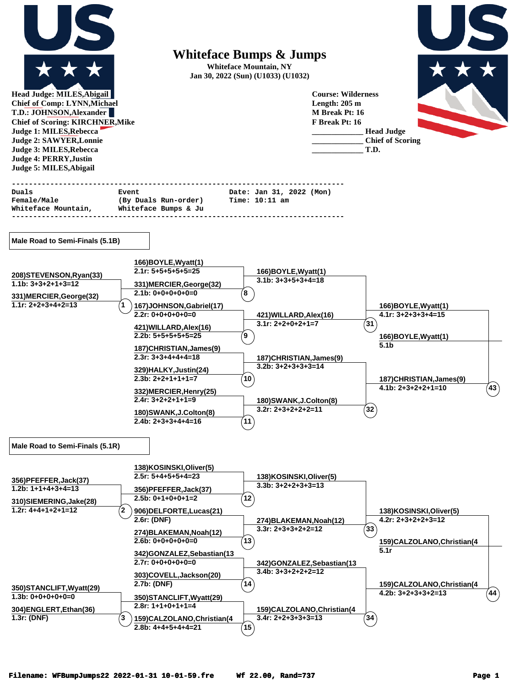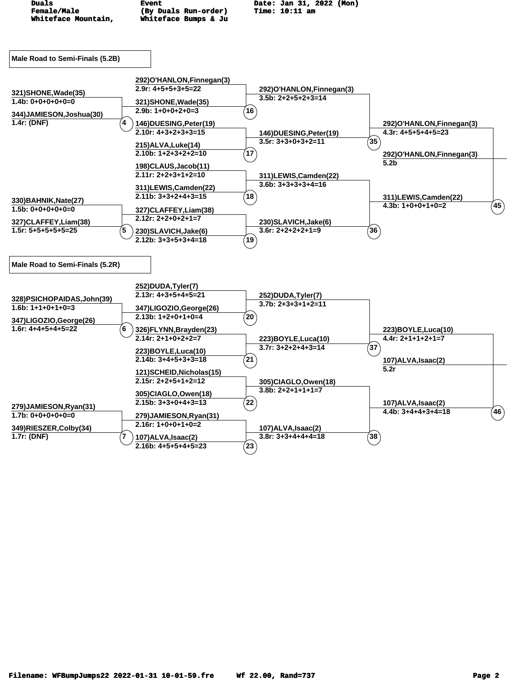| Duals<br><b>Female/Male</b><br>Whiteface Mountain,                                                        | <b>Event</b><br>(By Duals Run-order)<br>Whiteface Bumps & Ju                                                                                                                                                                                             | Date: Jan 31, 2022 (Mon)<br><b>Time: 10:11 am</b>                                                                                                               |                                                                                                              |
|-----------------------------------------------------------------------------------------------------------|----------------------------------------------------------------------------------------------------------------------------------------------------------------------------------------------------------------------------------------------------------|-----------------------------------------------------------------------------------------------------------------------------------------------------------------|--------------------------------------------------------------------------------------------------------------|
| Male Road to Semi-Finals (5.2B)                                                                           |                                                                                                                                                                                                                                                          |                                                                                                                                                                 |                                                                                                              |
| 321) SHONE, Wade(35)<br>$1.4b: 0+0+0+0+0=0$<br>344)JAMIESON,Joshua(30)<br>1.4r: (DNF)<br>4                | 292)O'HANLON, Finnegan(3)<br>$2.9r: 4+5+5+3+5=22$<br>321) SHONE, Wade (35)<br>$2.9b: 1+0+0+2+0=3$<br>146) DUESING, Peter (19)<br>$2.10r: 4+3+2+3+3=15$<br>215) ALVA, Luke (14)<br>$2.10b: 1+2+3+2+2=10$<br>198)CLAUS, Jacob(11)<br>$2.11r: 2+2+3+1+2=10$ | 292)O'HANLON, Finnegan(3)<br>$3.5b: 2+2+5+2+3=14$<br>16<br>146)DUESING, Peter(19)<br>$3.5r: 3+3+0+3+2=11$<br>$^{\prime}$ 17 $^{\prime}$<br>311)LEWIS,Camden(22) | 292)O'HANLON, Finnegan(3)<br>$4.3r: 4+5+5+4+5=23$<br>$\left( 35\right)$<br>292)O'HANLON, Finnegan(3)<br>5.2b |
| 330) BAHNIK, Nate(27)<br>$1.5b: 0+0+0+0+0=0$<br>327)CLAFFEY,Liam(38)<br>$1.5r: 5+5+5+5+5=25$<br>5         | 311)LEWIS,Camden(22)<br>$2.11b: 3+3+2+4+3=15$<br>327)CLAFFEY,Liam(38)<br>$2.12r: 2+2+0+2+1=7$<br>230) SLAVICH, Jake(6)<br>$2.12b: 3+3+5+3+4=18$                                                                                                          | $3.6b: 3+3+3+3+4=16$<br>(18)<br>230) SLAVICH, Jake(6)<br>$3.6r: 2+2+2+2+1=9$<br>$^{\prime}$ 19 $^{\prime}$                                                      | 311)LEWIS,Camden(22)<br>$^7$ 45<br>$4.3b: 1+0+0+1+0=2$<br>$^{\prime}$ 36 $^{\prime}$                         |
| Male Road to Semi-Finals (5.2R)                                                                           |                                                                                                                                                                                                                                                          |                                                                                                                                                                 |                                                                                                              |
| 328)PSICHOPAIDAS, John(39)<br>$1.6b: 1+1+0+1+0=3$<br>347)LIGOZIO, George(26)<br>$1.6r: 4+4+5+4+5=22$<br>6 | 252)DUDA,Tyler(7)<br>$2.13r: 4+3+5+4+5=21$<br>347)LIGOZIO, George (26)<br>$2.13b: 1+2+0+1+0=4$<br>326)FLYNN, Brayden(23)<br>$2.14r: 2+1+0+2+2=7$<br>223)BOYLE, Luca(10)                                                                                  | 252)DUDA, Tyler(7)<br>$3.7b: 2+3+3+1+2=11$<br>$^{'}20$<br>223)BOYLE, Luca(10)<br>$3.7r: 3+2+2+4+3=14$                                                           | 223)BOYLE, Luca(10)<br>$4.4r: 2+1+1+2+1=7$<br>(37`                                                           |
| 279)JAMIESON, Ryan(31)<br>$1.7b: 0+0+0+0+0=0$<br>349)RIESZER, Colby(34)<br>$1.7r$ : (DNF)<br>7            | $2.14b: 3+4+5+3+3=18$<br>121) SCHEID, Nicholas (15)<br>$2.15r: 2+2+5+1+2=12$<br>305)CIAGLO,Owen(18)<br>$2.15b: 3+3+0+4+3=13$<br>279)JAMIESON, Ryan(31)<br>$2.16r: 1+0+0+1+0=2$<br>107) ALVA, Isaac(2)<br>$2.16b: 4+5+5+4+5=23$                           | $^{\prime}$ 21<br>305)CIAGLO, Owen(18)<br>$3.8b: 2+2+1+1+1=7$<br>$^{'}22$<br>107) ALVA, Isaac(2)<br>$3.8r: 3+3+4+4+4=18$<br>$^{7}$ 23 $^{7}$                    | 107)ALVA, Isaac(2)<br>5.2r<br>107)ALVA, Isaac(2)<br>$^7$ 46 $)$<br>$4.4b: 3+4+4+3+4=18$<br>$\left(38\right)$ |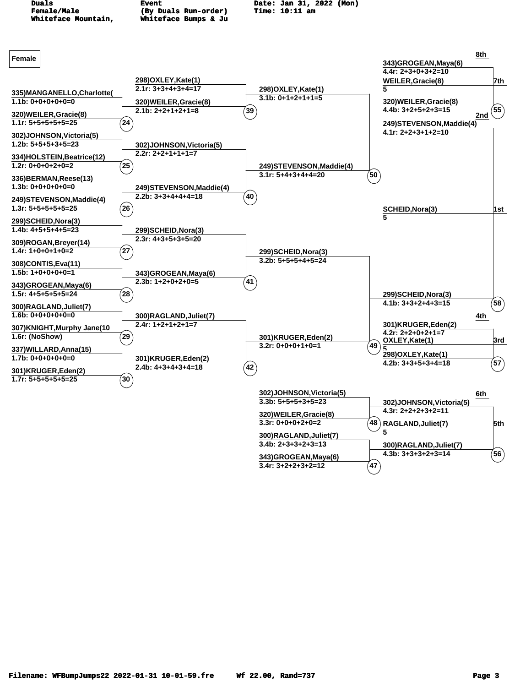